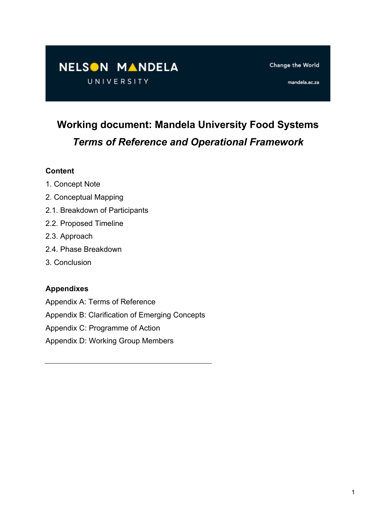# NELSON MANDELA

UNIVERSITY

Change the World

mandela.ac.za

# **Working document: Mandela University Food Systems** *Terms of Reference and Operational Framework*

#### **Content**

- 1. Concept Note
- 2. Conceptual Mapping
- 2.1. Breakdown of Participants
- 2.2. Proposed Timeline
- 2.3. Approach
- 2.4. Phase Breakdown
- 3. Conclusion

#### **Appendixes**

- Appendix A: Terms of Reference
- Appendix B: Clarification of Emerging Concepts
- Appendix C: Programme of Action
- Appendix D: Working Group Members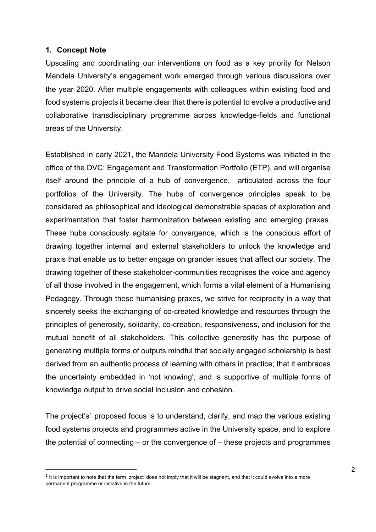#### **1. Concept Note**

Upscaling and coordinating our interventions on food as a key priority for Nelson Mandela University's engagement work emerged through various discussions over the year 2020. After multiple engagements with colleagues within existing food and food systems projects it became clear that there is potential to evolve a productive and collaborative transdisciplinary programme across knowledge-fields and functional areas of the University.

Established in early 2021, the Mandela University Food Systems was initiated in the office of the DVC: Engagement and Transformation Portfolio (ETP), and will organise itself around the principle of a hub of convergence, articulated across the four portfolios of the University. The hubs of convergence principles speak to be considered as philosophical and ideological demonstrable spaces of exploration and experimentation that foster harmonization between existing and emerging praxes. These hubs consciously agitate for convergence, which is the conscious effort of drawing together internal and external stakeholders to unlock the knowledge and praxis that enable us to better engage on grander issues that affect our society. The drawing together of these stakeholder-communities recognises the voice and agency of all those involved in the engagement, which forms a vital element of a Humanising Pedagogy. Through these humanising praxes, we strive for reciprocity in a way that sincerely seeks the exchanging of co-created knowledge and resources through the principles of generosity, solidarity, co-creation, responsiveness, and inclusion for the mutual benefit of all stakeholders. This collective generosity has the purpose of generating multiple forms of outputs mindful that socially engaged scholarship is best derived from an authentic process of learning with others in practice; that it embraces the uncertainty embedded in 'not knowing'; and is supportive of multiple forms of knowledge output to drive social inclusion and cohesion.

The project's<sup>1</sup> proposed focus is to understand, clarify, and map the various existing food systems projects and programmes active in the University space, and to explore the potential of connecting – or the convergence of – these projects and programmes

 $1$  It is important to note that the term 'project' does not imply that it will be stagnant, and that it could evolve into a more permanent programme or initiative in the future.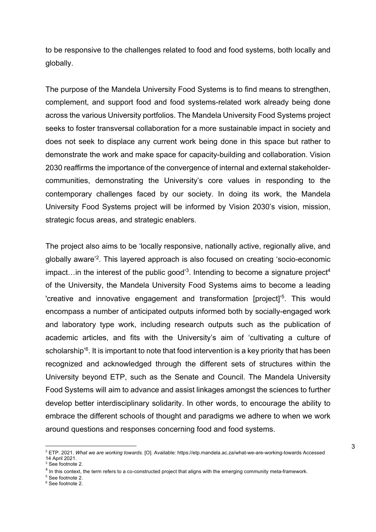to be responsive to the challenges related to food and food systems, both locally and globally.

The purpose of the Mandela University Food Systems is to find means to strengthen, complement, and support food and food systems-related work already being done across the various University portfolios. The Mandela University Food Systems project seeks to foster transversal collaboration for a more sustainable impact in society and does not seek to displace any current work being done in this space but rather to demonstrate the work and make space for capacity-building and collaboration. Vision 2030 reaffirms the importance of the convergence of internal and external stakeholdercommunities, demonstrating the University's core values in responding to the contemporary challenges faced by our society. In doing its work, the Mandela University Food Systems project will be informed by Vision 2030's vision, mission, strategic focus areas, and strategic enablers.

The project also aims to be 'locally responsive, nationally active, regionally alive, and globally aware'2. This layered approach is also focused on creating 'socio-economic impact... in the interest of the public good<sup>3</sup>. Intending to become a signature project<sup>4</sup> of the University, the Mandela University Food Systems aims to become a leading 'creative and innovative engagement and transformation [project]<sup>'5</sup>. This would encompass a number of anticipated outputs informed both by socially-engaged work and laboratory type work, including research outputs such as the publication of academic articles, and fits with the University's aim of 'cultivating a culture of scholarship<sup>'6</sup>. It is important to note that food intervention is a key priority that has been recognized and acknowledged through the different sets of structures within the University beyond ETP, such as the Senate and Council. The Mandela University Food Systems will aim to advance and assist linkages amongst the sciences to further develop better interdisciplinary solidarity. In other words, to encourage the ability to embrace the different schools of thought and paradigms we adhere to when we work around questions and responses concerning food and food systems.

<sup>5</sup> See footnote 2.

<sup>2</sup> ETP. 2021. *What we are working towards.* [O]. Available: https://etp.mandela.ac.za/what-we-are-working-towards Accessed 14 April 2021.

<sup>3</sup> See footnote 2.

 $4$  In this context, the term refers to a co-constructed project that aligns with the emerging community meta-framework.

<sup>&</sup>lt;sup>6</sup> See footnote 2.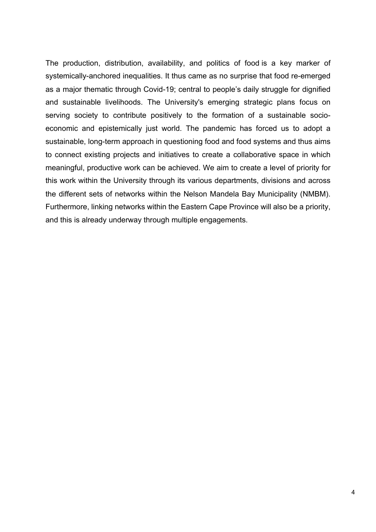The production, distribution, availability, and politics of food is a key marker of systemically-anchored inequalities. It thus came as no surprise that food re-emerged as a major thematic through Covid-19; central to people's daily struggle for dignified and sustainable livelihoods. The University's emerging strategic plans focus on serving society to contribute positively to the formation of a sustainable socioeconomic and epistemically just world. The pandemic has forced us to adopt a sustainable, long-term approach in questioning food and food systems and thus aims to connect existing projects and initiatives to create a collaborative space in which meaningful, productive work can be achieved. We aim to create a level of priority for this work within the University through its various departments, divisions and across the different sets of networks within the Nelson Mandela Bay Municipality (NMBM). Furthermore, linking networks within the Eastern Cape Province will also be a priority, and this is already underway through multiple engagements.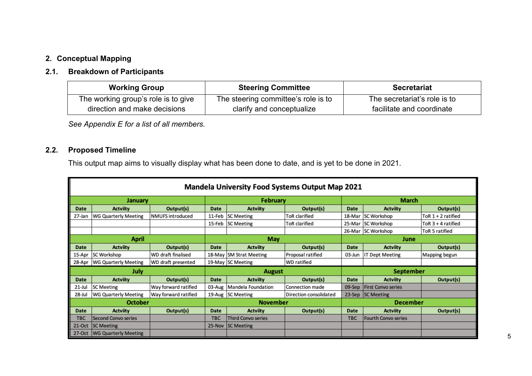## **2. Conceptual Mapping**

#### **2.1. Breakdown of Participants**

| <b>Working Group</b>                | <b>Steering Committee</b>           | <b>Secretariat</b>           |
|-------------------------------------|-------------------------------------|------------------------------|
| The working group's role is to give | The steering committee's role is to | The secretariat's role is to |
| direction and make decisions        | clarify and conceptualize           | facilitate and coordinate    |

*See Appendix E for a list of all members.*

## **2.2. Proposed Timeline**

This output map aims to visually display what has been done to date, and is yet to be done in 2021.

|            | <b>Mandela University Food Systems Output Map 2021</b> |                      |               |                         |                        |                  |                           |                    |  |
|------------|--------------------------------------------------------|----------------------|---------------|-------------------------|------------------------|------------------|---------------------------|--------------------|--|
|            | January                                                |                      |               | February                |                        |                  | <b>March</b>              |                    |  |
| Date       | <b>Actviity</b>                                        | Output(s)            | Date          | <b>Actviity</b>         | Output(s)              | Date             | <b>Actviity</b>           | Output(s)          |  |
| 27-Jan     | WG Quarterly Meeting                                   | NMUFS introduced     | 11-Feb        | <b>SC Meeting</b>       | <b>ToR</b> clarified   | 18-Mar           | SC Workshop               | ToR 1 + 2 ratified |  |
|            |                                                        |                      | 15-Feb        | <b>SC Meeting</b>       | ToR clarified          | 25-Mar           | <b>SC Workshop</b>        | ToR 3 + 4 ratified |  |
|            |                                                        |                      |               |                         |                        | 26-Mar           | <b>SC Workshop</b>        | ToR 5 ratified     |  |
|            | April                                                  | May<br>June          |               |                         |                        |                  |                           |                    |  |
| Date       | <b>Actviity</b>                                        | Output(s)            | Date          | <b>Actviity</b>         | Output(s)              | Date             | <b>Actviity</b>           | Output(s)          |  |
| 15-Apr     | SC Workshop                                            | WD draft finalised   |               | 18-May SM Strat Meeting | Proposal ratified      | 03-Jun           | <b>IT Dept Meeting</b>    | Mapping begun      |  |
| 28-Apr     | WG Quarterly Meeting                                   | WD draft presented   |               | 19-May SC Meeting       | <b>WD</b> ratified     |                  |                           |                    |  |
|            | July                                                   |                      | <b>August</b> |                         |                        | <b>September</b> |                           |                    |  |
| Date       | <b>Actviity</b>                                        | Output(s)            | Date          | <b>Actviity</b>         | Output(s)              | Date             | <b>Actviity</b>           | Output(s)          |  |
| 21-Jul     | <b>SC Meeting</b>                                      | Way forward ratified | 03-Aug        | Mandela Foundation      | Connection made        | 09-Sep           | <b>First Convo series</b> |                    |  |
| 28-Jul     | <b>WG Quarterly Meeting</b>                            | Way forward ratified | 19-Aug        | <b>SC Meeting</b>       | Direction consolidated |                  | 23-Sep SC Meeting         |                    |  |
|            | <b>October</b>                                         |                      |               | <b>November</b>         |                        |                  | <b>December</b>           |                    |  |
| Date       | <b>Actviity</b>                                        | Output(s)            | Date          | <b>Actviity</b>         | Output(s)              | Date             | <b>Actviity</b>           | Output(s)          |  |
| <b>TBC</b> | Second Convo series                                    |                      | <b>TBC</b>    | Third Convo series      |                        | <b>TBC</b>       | Fourth Convo series       |                    |  |
| 21-Oct     | <b>SC Meeting</b>                                      |                      | 25-Nov        | <b>SC Meeting</b>       |                        |                  |                           |                    |  |
| 27-Oct     | <b>WG Quarterly Meeting</b>                            |                      |               |                         |                        |                  |                           |                    |  |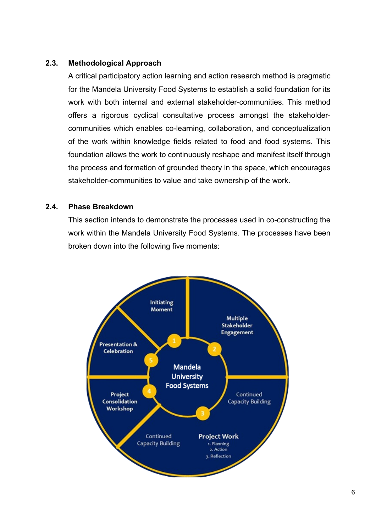#### **2.3. Methodological Approach**

A critical participatory action learning and action research method is pragmatic for the Mandela University Food Systems to establish a solid foundation for its work with both internal and external stakeholder-communities. This method offers a rigorous cyclical consultative process amongst the stakeholdercommunities which enables co-learning, collaboration, and conceptualization of the work within knowledge fields related to food and food systems. This foundation allows the work to continuously reshape and manifest itself through the process and formation of grounded theory in the space, which encourages stakeholder-communities to value and take ownership of the work.

#### **2.4. Phase Breakdown**

This section intends to demonstrate the processes used in co-constructing the work within the Mandela University Food Systems. The processes have been broken down into the following five moments:

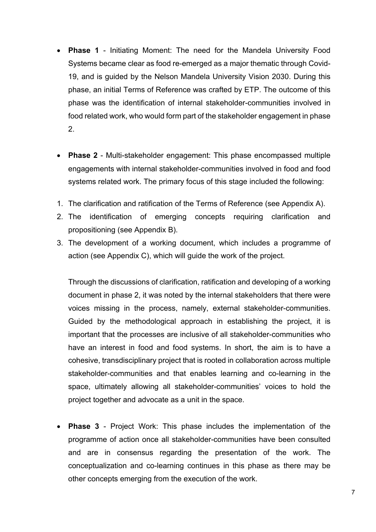- **Phase 1** Initiating Moment: The need for the Mandela University Food Systems became clear as food re-emerged as a major thematic through Covid-19, and is guided by the Nelson Mandela University Vision 2030. During this phase, an initial Terms of Reference was crafted by ETP. The outcome of this phase was the identification of internal stakeholder-communities involved in food related work, who would form part of the stakeholder engagement in phase 2.
- **Phase 2** Multi-stakeholder engagement: This phase encompassed multiple engagements with internal stakeholder-communities involved in food and food systems related work. The primary focus of this stage included the following:
- 1. The clarification and ratification of the Terms of Reference (see Appendix A).
- 2. The identification of emerging concepts requiring clarification and propositioning (see Appendix B).
- 3. The development of a working document, which includes a programme of action (see Appendix C), which will guide the work of the project.

Through the discussions of clarification, ratification and developing of a working document in phase 2, it was noted by the internal stakeholders that there were voices missing in the process, namely, external stakeholder-communities. Guided by the methodological approach in establishing the project, it is important that the processes are inclusive of all stakeholder-communities who have an interest in food and food systems. In short, the aim is to have a cohesive, transdisciplinary project that is rooted in collaboration across multiple stakeholder-communities and that enables learning and co-learning in the space, ultimately allowing all stakeholder-communities' voices to hold the project together and advocate as a unit in the space.

• **Phase 3** - Project Work: This phase includes the implementation of the programme of action once all stakeholder-communities have been consulted and are in consensus regarding the presentation of the work. The conceptualization and co-learning continues in this phase as there may be other concepts emerging from the execution of the work.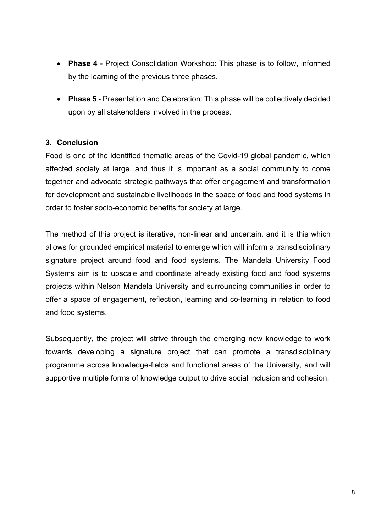- **Phase 4** Project Consolidation Workshop: This phase is to follow, informed by the learning of the previous three phases.
- **Phase 5** Presentation and Celebration: This phase will be collectively decided upon by all stakeholders involved in the process.

#### **3. Conclusion**

Food is one of the identified thematic areas of the Covid-19 global pandemic, which affected society at large, and thus it is important as a social community to come together and advocate strategic pathways that offer engagement and transformation for development and sustainable livelihoods in the space of food and food systems in order to foster socio-economic benefits for society at large.

The method of this project is iterative, non-linear and uncertain, and it is this which allows for grounded empirical material to emerge which will inform a transdisciplinary signature project around food and food systems. The Mandela University Food Systems aim is to upscale and coordinate already existing food and food systems projects within Nelson Mandela University and surrounding communities in order to offer a space of engagement, reflection, learning and co-learning in relation to food and food systems.

Subsequently, the project will strive through the emerging new knowledge to work towards developing a signature project that can promote a transdisciplinary programme across knowledge-fields and functional areas of the University, and will supportive multiple forms of knowledge output to drive social inclusion and cohesion.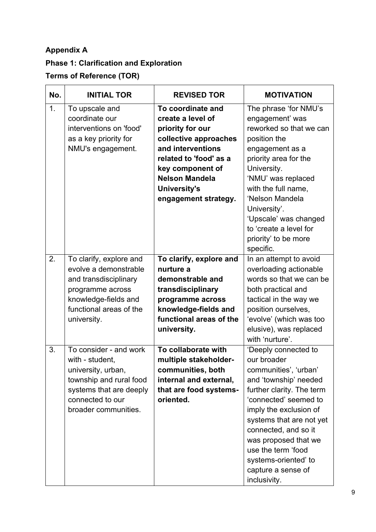## **Appendix A**

# **Phase 1: Clarification and Exploration**

## **Terms of Reference (TOR)**

| No. | <b>INITIAL TOR</b>                                                                                                                                                | <b>REVISED TOR</b>                                                                                                                                                                                                             | <b>MOTIVATION</b>                                                                                                                                                                                                                                                                                                                     |
|-----|-------------------------------------------------------------------------------------------------------------------------------------------------------------------|--------------------------------------------------------------------------------------------------------------------------------------------------------------------------------------------------------------------------------|---------------------------------------------------------------------------------------------------------------------------------------------------------------------------------------------------------------------------------------------------------------------------------------------------------------------------------------|
| 1.  | To upscale and<br>coordinate our<br>interventions on 'food'<br>as a key priority for<br>NMU's engagement.                                                         | To coordinate and<br>create a level of<br>priority for our<br>collective approaches<br>and interventions<br>related to 'food' as a<br>key component of<br><b>Nelson Mandela</b><br><b>University's</b><br>engagement strategy. | The phrase 'for NMU's<br>engagement' was<br>reworked so that we can<br>position the<br>engagement as a<br>priority area for the<br>University.<br>'NMU' was replaced<br>with the full name,<br>'Nelson Mandela<br>University'.<br>'Upscale' was changed<br>to 'create a level for<br>priority' to be more<br>specific.                |
| 2.  | To clarify, explore and<br>evolve a demonstrable<br>and transdisciplinary<br>programme across<br>knowledge-fields and<br>functional areas of the<br>university.   | To clarify, explore and<br>nurture a<br>demonstrable and<br>transdisciplinary<br>programme across<br>knowledge-fields and<br>functional areas of the<br>university.                                                            | In an attempt to avoid<br>overloading actionable<br>words so that we can be<br>both practical and<br>tactical in the way we<br>position ourselves,<br>'evolve' (which was too<br>elusive), was replaced<br>with 'nurture'.                                                                                                            |
| 3.  | To consider - and work<br>with - student,<br>university, urban,<br>township and rural food<br>systems that are deeply<br>connected to our<br>broader communities. | To collaborate with<br>multiple stakeholder-<br>communities, both<br>internal and external,<br>that are food systems-<br>oriented.                                                                                             | 'Deeply connected to<br>our broader<br>communities', 'urban'<br>and 'township' needed<br>further clarity. The term<br>'connected' seemed to<br>imply the exclusion of<br>systems that are not yet<br>connected, and so it<br>was proposed that we<br>use the term 'food<br>systems-oriented' to<br>capture a sense of<br>inclusivity. |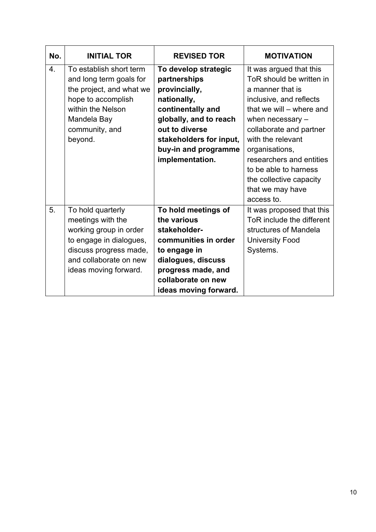| No.              | <b>INITIAL TOR</b>                                                                                                                                                       | <b>REVISED TOR</b>                                                                                                                                                                                          | <b>MOTIVATION</b>                                                                                                                                                                                                                                                                                                                      |
|------------------|--------------------------------------------------------------------------------------------------------------------------------------------------------------------------|-------------------------------------------------------------------------------------------------------------------------------------------------------------------------------------------------------------|----------------------------------------------------------------------------------------------------------------------------------------------------------------------------------------------------------------------------------------------------------------------------------------------------------------------------------------|
| $\overline{4}$ . | To establish short term<br>and long term goals for<br>the project, and what we<br>hope to accomplish<br>within the Nelson<br>Mandela Bay<br>community, and<br>beyond.    | To develop strategic<br>partnerships<br>provincially,<br>nationally,<br>continentally and<br>globally, and to reach<br>out to diverse<br>stakeholders for input,<br>buy-in and programme<br>implementation. | It was argued that this<br>ToR should be written in<br>a manner that is<br>inclusive, and reflects<br>that we will – where and<br>when necessary -<br>collaborate and partner<br>with the relevant<br>organisations,<br>researchers and entities<br>to be able to harness<br>the collective capacity<br>that we may have<br>access to. |
| 5.               | To hold quarterly<br>meetings with the<br>working group in order<br>to engage in dialogues,<br>discuss progress made,<br>and collaborate on new<br>ideas moving forward. | To hold meetings of<br>the various<br>stakeholder-<br>communities in order<br>to engage in<br>dialogues, discuss<br>progress made, and<br>collaborate on new<br>ideas moving forward.                       | It was proposed that this<br>ToR include the different<br>structures of Mandela<br><b>University Food</b><br>Systems.                                                                                                                                                                                                                  |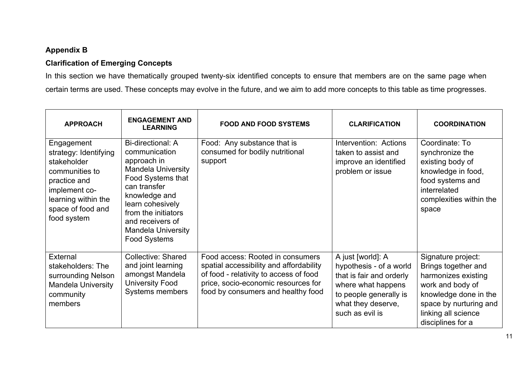## **Appendix B**

#### **Clarification of Emerging Concepts**

In this section we have thematically grouped twenty-six identified concepts to ensure that members are on the same page when certain terms are used. These concepts may evolve in the future, and we aim to add more concepts to this table as time progresses.

| <b>APPROACH</b>                                                                                                                                                  | <b>ENGAGEMENT AND</b><br><b>LEARNING</b>                                                                                                                                                                                                                       | <b>FOOD AND FOOD SYSTEMS</b>                                                                                                                                                                       | <b>CLARIFICATION</b>                                                                                                                                              | <b>COORDINATION</b>                                                                                                                                                                 |
|------------------------------------------------------------------------------------------------------------------------------------------------------------------|----------------------------------------------------------------------------------------------------------------------------------------------------------------------------------------------------------------------------------------------------------------|----------------------------------------------------------------------------------------------------------------------------------------------------------------------------------------------------|-------------------------------------------------------------------------------------------------------------------------------------------------------------------|-------------------------------------------------------------------------------------------------------------------------------------------------------------------------------------|
| Engagement<br>strategy: Identifying<br>stakeholder<br>communities to<br>practice and<br>implement co-<br>learning within the<br>space of food and<br>food system | <b>Bi-directional: A</b><br>communication<br>approach in<br><b>Mandela University</b><br>Food Systems that<br>can transfer<br>knowledge and<br>learn cohesively<br>from the initiators<br>and receivers of<br><b>Mandela University</b><br><b>Food Systems</b> | Food: Any substance that is<br>consumed for bodily nutritional<br>support                                                                                                                          | Intervention: Actions<br>taken to assist and<br>improve an identified<br>problem or issue                                                                         | Coordinate: To<br>synchronize the<br>existing body of<br>knowledge in food,<br>food systems and<br>interrelated<br>complexities within the<br>space                                 |
| External<br>stakeholders: The<br>surrounding Nelson<br><b>Mandela University</b><br>community<br>members                                                         | Collective: Shared<br>and joint learning<br>amongst Mandela<br><b>University Food</b><br>Systems members                                                                                                                                                       | Food access: Rooted in consumers<br>spatial accessibility and affordability<br>of food - relativity to access of food<br>price, socio-economic resources for<br>food by consumers and healthy food | A just [world]: A<br>hypothesis - of a world<br>that is fair and orderly<br>where what happens<br>to people generally is<br>what they deserve,<br>such as evil is | Signature project:<br>Brings together and<br>harmonizes existing<br>work and body of<br>knowledge done in the<br>space by nurturing and<br>linking all science<br>disciplines for a |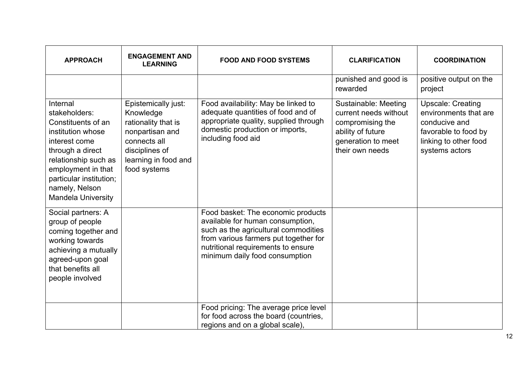| <b>APPROACH</b>                                                                                                                                                                                                                   | <b>ENGAGEMENT AND</b><br><b>LEARNING</b>                                                                                                             | <b>FOOD AND FOOD SYSTEMS</b>                                                                                                                                                                                                    | <b>CLARIFICATION</b>                                                                                                            | <b>COORDINATION</b>                                                                                                                   |
|-----------------------------------------------------------------------------------------------------------------------------------------------------------------------------------------------------------------------------------|------------------------------------------------------------------------------------------------------------------------------------------------------|---------------------------------------------------------------------------------------------------------------------------------------------------------------------------------------------------------------------------------|---------------------------------------------------------------------------------------------------------------------------------|---------------------------------------------------------------------------------------------------------------------------------------|
|                                                                                                                                                                                                                                   |                                                                                                                                                      |                                                                                                                                                                                                                                 | punished and good is<br>rewarded                                                                                                | positive output on the<br>project                                                                                                     |
| Internal<br>stakeholders:<br>Constituents of an<br>institution whose<br>interest come<br>through a direct<br>relationship such as<br>employment in that<br>particular institution;<br>namely, Nelson<br><b>Mandela University</b> | Epistemically just:<br>Knowledge<br>rationality that is<br>nonpartisan and<br>connects all<br>disciplines of<br>learning in food and<br>food systems | Food availability: May be linked to<br>adequate quantities of food and of<br>appropriate quality, supplied through<br>domestic production or imports,<br>including food aid                                                     | Sustainable: Meeting<br>current needs without<br>compromising the<br>ability of future<br>generation to meet<br>their own needs | <b>Upscale: Creating</b><br>environments that are<br>conducive and<br>favorable to food by<br>linking to other food<br>systems actors |
| Social partners: A<br>group of people<br>coming together and<br>working towards<br>achieving a mutually<br>agreed-upon goal<br>that benefits all<br>people involved                                                               |                                                                                                                                                      | Food basket: The economic products<br>available for human consumption,<br>such as the agricultural commodities<br>from various farmers put together for<br>nutritional requirements to ensure<br>minimum daily food consumption |                                                                                                                                 |                                                                                                                                       |
|                                                                                                                                                                                                                                   |                                                                                                                                                      | Food pricing: The average price level<br>for food across the board (countries,<br>regions and on a global scale),                                                                                                               |                                                                                                                                 |                                                                                                                                       |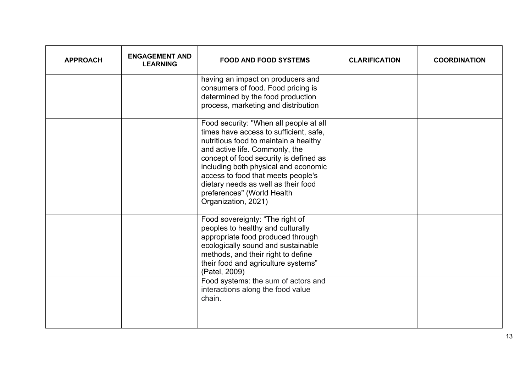| <b>APPROACH</b> | <b>ENGAGEMENT AND</b><br><b>LEARNING</b> | <b>FOOD AND FOOD SYSTEMS</b>                                                                                                                                                                                                                                                                                                                                                    | <b>CLARIFICATION</b> | <b>COORDINATION</b> |
|-----------------|------------------------------------------|---------------------------------------------------------------------------------------------------------------------------------------------------------------------------------------------------------------------------------------------------------------------------------------------------------------------------------------------------------------------------------|----------------------|---------------------|
|                 |                                          | having an impact on producers and<br>consumers of food. Food pricing is<br>determined by the food production<br>process, marketing and distribution                                                                                                                                                                                                                             |                      |                     |
|                 |                                          | Food security: "When all people at all<br>times have access to sufficient, safe,<br>nutritious food to maintain a healthy<br>and active life. Commonly, the<br>concept of food security is defined as<br>including both physical and economic<br>access to food that meets people's<br>dietary needs as well as their food<br>preferences" (World Health<br>Organization, 2021) |                      |                     |
|                 |                                          | Food sovereignty: "The right of<br>peoples to healthy and culturally<br>appropriate food produced through<br>ecologically sound and sustainable<br>methods, and their right to define<br>their food and agriculture systems"<br>(Patel, 2009)                                                                                                                                   |                      |                     |
|                 |                                          | Food systems: the sum of actors and<br>interactions along the food value<br>chain.                                                                                                                                                                                                                                                                                              |                      |                     |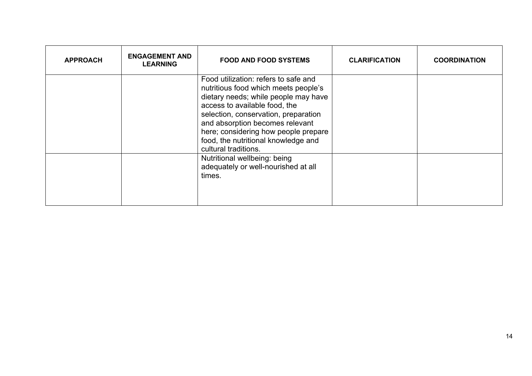| <b>APPROACH</b> | <b>ENGAGEMENT AND</b><br><b>LEARNING</b> | <b>FOOD AND FOOD SYSTEMS</b>                                                                                                                                                                                                                                                                                                            | <b>CLARIFICATION</b> | <b>COORDINATION</b> |
|-----------------|------------------------------------------|-----------------------------------------------------------------------------------------------------------------------------------------------------------------------------------------------------------------------------------------------------------------------------------------------------------------------------------------|----------------------|---------------------|
|                 |                                          | Food utilization: refers to safe and<br>nutritious food which meets people's<br>dietary needs; while people may have<br>access to available food, the<br>selection, conservation, preparation<br>and absorption becomes relevant<br>here; considering how people prepare<br>food, the nutritional knowledge and<br>cultural traditions. |                      |                     |
|                 |                                          | Nutritional wellbeing: being<br>adequately or well-nourished at all<br>times.                                                                                                                                                                                                                                                           |                      |                     |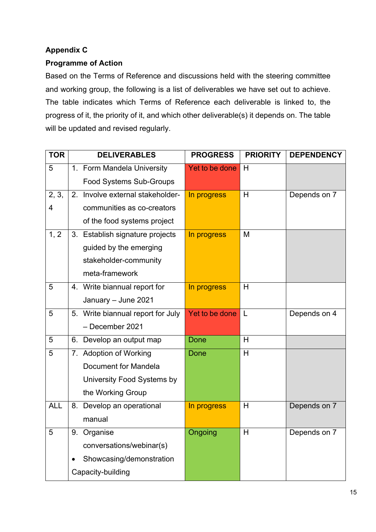### **Appendix C**

#### **Programme of Action**

Based on the Terms of Reference and discussions held with the steering committee and working group, the following is a list of deliverables we have set out to achieve. The table indicates which Terms of Reference each deliverable is linked to, the progress of it, the priority of it, and which other deliverable(s) it depends on. The table will be updated and revised regularly.

| <b>TOR</b>      | <b>DELIVERABLES</b>               | <b>PROGRESS</b> | <b>PRIORITY</b> | <b>DEPENDENCY</b> |
|-----------------|-----------------------------------|-----------------|-----------------|-------------------|
| 5               | 1. Form Mandela University        | Yet to be done  | H               |                   |
|                 | <b>Food Systems Sub-Groups</b>    |                 |                 |                   |
| 2, 3,           | 2. Involve external stakeholder-  | In progress     | H               | Depends on 7      |
| 4               | communities as co-creators        |                 |                 |                   |
|                 | of the food systems project       |                 |                 |                   |
| 1, 2            | 3. Establish signature projects   | In progress     | M               |                   |
|                 | guided by the emerging            |                 |                 |                   |
|                 | stakeholder-community             |                 |                 |                   |
|                 | meta-framework                    |                 |                 |                   |
| 5               | 4. Write biannual report for      | In progress     | H               |                   |
|                 | January - June 2021               |                 |                 |                   |
| 5               | 5. Write biannual report for July | Yet to be done  | $\mathsf{L}$    | Depends on 4      |
|                 | - December 2021                   |                 |                 |                   |
| 5               | 6. Develop an output map          | <b>Done</b>     | H               |                   |
| 5               | 7. Adoption of Working            | <b>Done</b>     | H               |                   |
|                 | Document for Mandela              |                 |                 |                   |
|                 | University Food Systems by        |                 |                 |                   |
|                 | the Working Group                 |                 |                 |                   |
| <b>ALL</b>      | 8. Develop an operational         | In progress     | H               | Depends on 7      |
|                 | manual                            |                 |                 |                   |
| $5\phantom{.0}$ | 9. Organise                       | Ongoing         | H               | Depends on 7      |
|                 | conversations/webinar(s)          |                 |                 |                   |
|                 | Showcasing/demonstration          |                 |                 |                   |
|                 | Capacity-building                 |                 |                 |                   |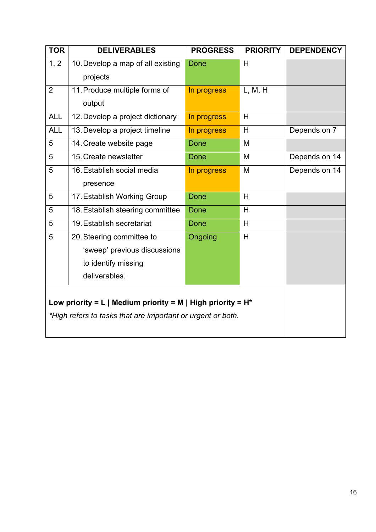| <b>TOR</b>                                                     | <b>DELIVERABLES</b>                                         | <b>PROGRESS</b> | <b>PRIORITY</b> | <b>DEPENDENCY</b> |  |  |  |  |
|----------------------------------------------------------------|-------------------------------------------------------------|-----------------|-----------------|-------------------|--|--|--|--|
| 1, 2                                                           | 10. Develop a map of all existing                           | <b>Done</b>     | H               |                   |  |  |  |  |
|                                                                | projects                                                    |                 |                 |                   |  |  |  |  |
| $\overline{2}$                                                 | 11. Produce multiple forms of                               | In progress     | L, M, H         |                   |  |  |  |  |
|                                                                | output                                                      |                 |                 |                   |  |  |  |  |
| <b>ALL</b>                                                     | 12. Develop a project dictionary                            | In progress     | H               |                   |  |  |  |  |
| <b>ALL</b>                                                     | 13. Develop a project timeline                              | In progress     | H               | Depends on 7      |  |  |  |  |
| 5                                                              | 14. Create website page                                     | Done            | M               |                   |  |  |  |  |
| 5                                                              | 15. Create newsletter                                       | <b>Done</b>     | M               | Depends on 14     |  |  |  |  |
| 5                                                              | 16. Establish social media                                  | In progress     | M               | Depends on 14     |  |  |  |  |
|                                                                | presence                                                    |                 |                 |                   |  |  |  |  |
| 5                                                              | 17. Establish Working Group                                 | <b>Done</b>     | H               |                   |  |  |  |  |
| 5                                                              | 18. Establish steering committee                            | Done            | H               |                   |  |  |  |  |
| 5                                                              | 19. Establish secretariat                                   | <b>Done</b>     | H               |                   |  |  |  |  |
| 5                                                              | 20. Steering committee to                                   | Ongoing         | H               |                   |  |  |  |  |
|                                                                | 'sweep' previous discussions                                |                 |                 |                   |  |  |  |  |
|                                                                | to identify missing                                         |                 |                 |                   |  |  |  |  |
|                                                                | deliverables.                                               |                 |                 |                   |  |  |  |  |
|                                                                |                                                             |                 |                 |                   |  |  |  |  |
| Low priority = L   Medium priority = M   High priority = $H^*$ |                                                             |                 |                 |                   |  |  |  |  |
|                                                                | *High refers to tasks that are important or urgent or both. |                 |                 |                   |  |  |  |  |
|                                                                |                                                             |                 |                 |                   |  |  |  |  |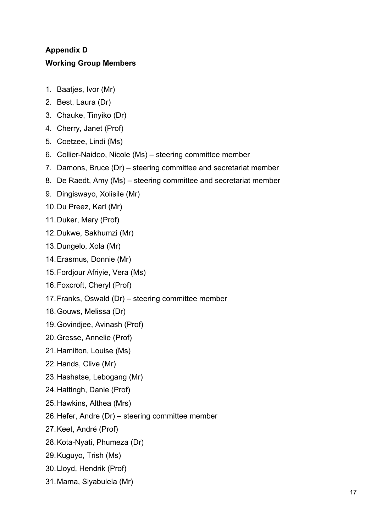# **Appendix D Working Group Members**

- 1. Baatjes, Ivor (Mr)
- 2. Best, Laura (Dr)
- 3. Chauke, Tinyiko (Dr)
- 4. Cherry, Janet (Prof)
- 5. Coetzee, Lindi (Ms)
- 6. Collier-Naidoo, Nicole (Ms) steering committee member
- 7. Damons, Bruce (Dr) steering committee and secretariat member
- 8. De Raedt, Amy (Ms) steering committee and secretariat member
- 9. Dingiswayo, Xolisile (Mr)
- 10.Du Preez, Karl (Mr)
- 11.Duker, Mary (Prof)
- 12.Dukwe, Sakhumzi (Mr)
- 13.Dungelo, Xola (Mr)
- 14.Erasmus, Donnie (Mr)
- 15.Fordjour Afriyie, Vera (Ms)
- 16.Foxcroft, Cheryl (Prof)
- 17.Franks, Oswald (Dr) steering committee member
- 18.Gouws, Melissa (Dr)
- 19.Govindjee, Avinash (Prof)
- 20.Gresse, Annelie (Prof)
- 21.Hamilton, Louise (Ms)
- 22.Hands, Clive (Mr)
- 23.Hashatse, Lebogang (Mr)
- 24.Hattingh, Danie (Prof)
- 25.Hawkins, Althea (Mrs)
- 26.Hefer, Andre (Dr) steering committee member
- 27.Keet, André (Prof)
- 28.Kota-Nyati, Phumeza (Dr)
- 29.Kuguyo, Trish (Ms)
- 30.Lloyd, Hendrik (Prof)
- 31.Mama, Siyabulela (Mr)